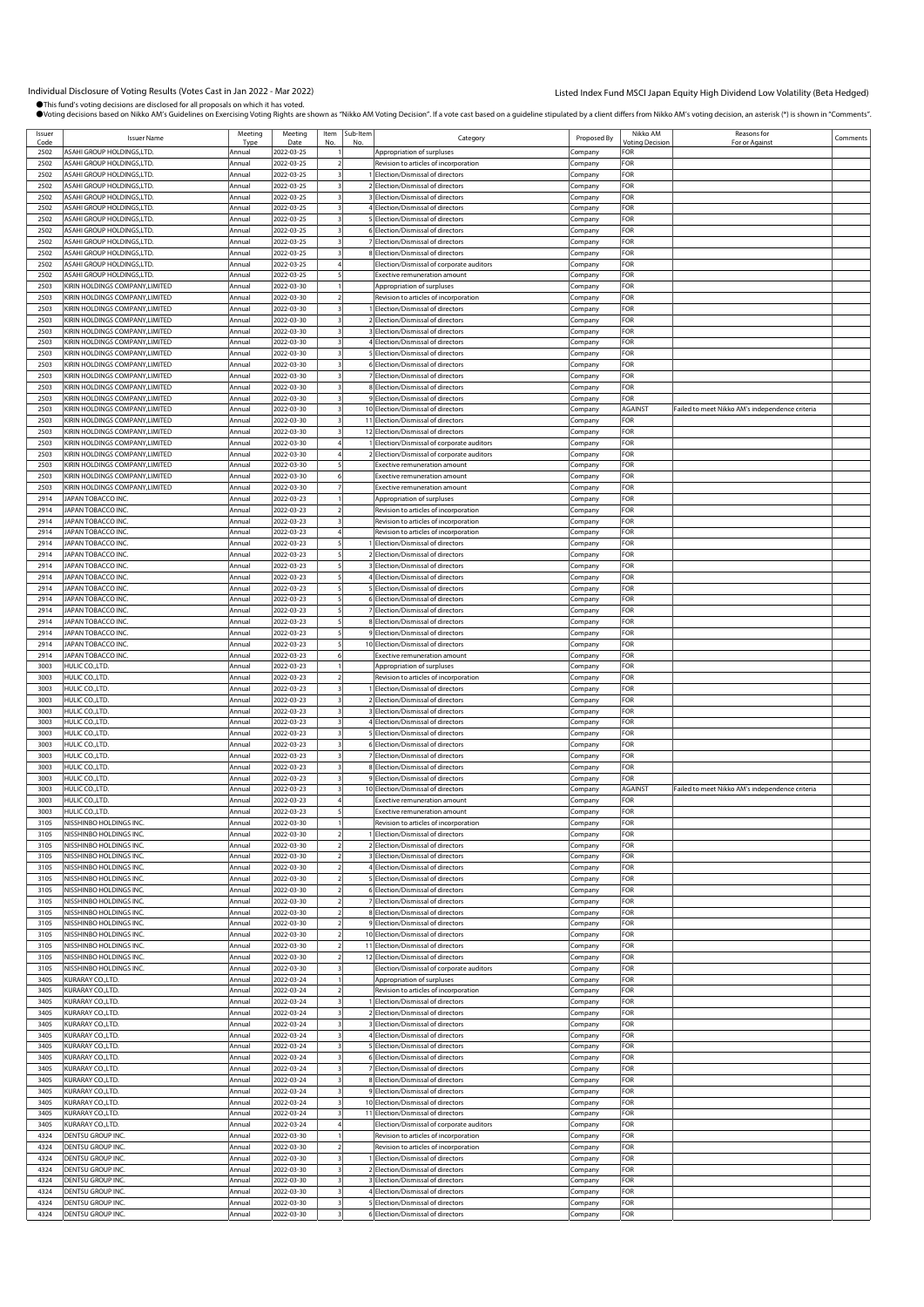Individual Disclosure of Voting Results (Votes Cast in Jan 2022 - Mar 2022)<br>●This fund's voting decisions are disclosed for all proposals on which thas voted.<br>●Voting decisions based on Nikko AM's Guidelines on Exercising

| Issuer |                                 | Meeting | Meeting    | Item | Sub-Item |                                            |             | Nikko AM               | Reasons for                                     |          |
|--------|---------------------------------|---------|------------|------|----------|--------------------------------------------|-------------|------------------------|-------------------------------------------------|----------|
| Code   | <b>Issuer Name</b>              | Type    | Date       | No   | No       | Category                                   | Proposed By | <b>Voting Decision</b> | For or Against                                  | Comments |
| 2502   | ASAHI GROUP HOLDINGS,LTD.       | Annual  | 2022-03-25 |      |          | Appropriation of surpluses                 | Company     | <b>FOR</b>             |                                                 |          |
|        |                                 |         |            |      |          |                                            |             |                        |                                                 |          |
| 2502   | ASAHI GROUP HOLDINGS,LTD.       | Annual  | 2022-03-25 |      |          | Revision to articles of incorporation      | Company     | FOR                    |                                                 |          |
| 2502   | ASAHI GROUP HOLDINGS, LTD.      | Annual  | 2022-03-25 |      |          | 1 Election/Dismissal of directors          | Company     | FOR                    |                                                 |          |
| 2502   | ASAHI GROUP HOLDINGS, LTD.      | Annual  | 2022-03-25 |      |          | 2 Election/Dismissal of directors          | Company     | <b>FOR</b>             |                                                 |          |
| 2502   | ASAHI GROUP HOLDINGS,LTD.       | Annual  | 2022-03-25 |      |          | 3 Election/Dismissal of directors          | Company     | FOR                    |                                                 |          |
| 2502   | ASAHI GROUP HOLDINGS, LTD.      | Annual  | 2022-03-25 |      |          | 4 Election/Dismissal of directors          | Company     | FOR                    |                                                 |          |
| 2502   | ASAHI GROUP HOLDINGS.LTD.       | Annual  | 2022-03-25 |      |          | 5 Election/Dismissal of directors          | Company     | FOR                    |                                                 |          |
|        |                                 |         |            |      |          | 6 Election/Dismissal of directors          |             |                        |                                                 |          |
| 2502   | ASAHI GROUP HOLDINGS,LTD.       | Annual  | 2022-03-25 |      |          |                                            | Company     | FOR                    |                                                 |          |
| 2502   | ASAHI GROUP HOLDINGS, LTD.      | Annual  | 2022-03-25 |      |          | 7 Election/Dismissal of directors          | Company     | FOR                    |                                                 |          |
| 2502   | ASAHI GROUP HOLDINGS,LTD.       | Annual  | 2022-03-25 |      |          | 8 Election/Dismissal of directors          | Company     | FOR                    |                                                 |          |
| 2502   | ASAHI GROUP HOLDINGS, LTD.      | Annual  | 2022-03-25 |      |          | Election/Dismissal of corporate auditors   | Company     | FOR                    |                                                 |          |
| 2502   | ASAHI GROUP HOLDINGS,LTD.       | Annua   | 2022-03-25 |      |          | <b>Exective remuneration amount</b>        | Company     | FOR                    |                                                 |          |
| 2503   | KIRIN HOLDINGS COMPANY, LIMITED | Annual  | 2022-03-30 |      |          | Appropriation of surpluses                 | Company     | FOR                    |                                                 |          |
| 2503   | KIRIN HOLDINGS COMPANY, LIMITED | Annual  | 2022-03-30 |      |          | Revision to articles of incorporation      |             | FOR                    |                                                 |          |
|        |                                 |         |            |      |          |                                            | Company     |                        |                                                 |          |
| 2503   | KIRIN HOLDINGS COMPANY, LIMITED | Annual  | 2022-03-30 |      |          | 1 Election/Dismissal of directors          | Company     | FOR                    |                                                 |          |
| 2503   | KIRIN HOLDINGS COMPANY, LIMITED | Annual  | 2022-03-30 |      |          | 2 Election/Dismissal of directors          | Company     | FOR                    |                                                 |          |
| 2503   | KIRIN HOLDINGS COMPANY, LIMITED | Annual  | 2022-03-30 |      |          | 3 Election/Dismissal of directors          | Company     | FOR                    |                                                 |          |
| 2503   | KIRIN HOLDINGS COMPANY, LIMITED | Annual  | 2022-03-30 |      |          | 4 Election/Dismissal of directors          | Company     | FOR                    |                                                 |          |
| 2503   | KIRIN HOLDINGS COMPANY, LIMITED | Annual  | 2022-03-30 |      |          | 5 Election/Dismissal of directors          | Company     | <b>FOR</b>             |                                                 |          |
| 2503   | KIRIN HOLDINGS COMPANY, LIMITED | Annual  | 2022-03-30 |      |          | 6 Election/Dismissal of directors          | Company     | FOR                    |                                                 |          |
|        |                                 |         |            |      |          |                                            |             |                        |                                                 |          |
| 2503   | KIRIN HOLDINGS COMPANY, LIMITED | Annual  | 2022-03-30 |      |          | 7 Election/Dismissal of directors          | Company     | FOR                    |                                                 |          |
| 2503   | KIRIN HOLDINGS COMPANY,LIMITED  | Annual  | 2022-03-30 |      |          | 8 Election/Dismissal of directors          | Company     | FOR                    |                                                 |          |
| 2503   | KIRIN HOLDINGS COMPANY,LIMITED  | Annual  | 2022-03-30 |      |          | 9 Election/Dismissal of directors          | Company     | FOR                    |                                                 |          |
| 2503   | KIRIN HOLDINGS COMPANY, LIMITED | Annua   | 2022-03-30 |      |          | 10 Election/Dismissal of directors         | Company     | <b>AGAINST</b>         | Failed to meet Nikko AM's independence criteria |          |
| 2503   | KIRIN HOLDINGS COMPANY, LIMITED | Annual  | 2022-03-30 |      |          | 11 Election/Dismissal of directors         | Company     | FOR                    |                                                 |          |
| 2503   | KIRIN HOLDINGS COMPANY, LIMITED | Annual  | 2022-03-30 |      |          | 12 Election/Dismissal of directors         | Company     | FOR                    |                                                 |          |
|        |                                 |         |            |      |          |                                            |             |                        |                                                 |          |
| 2503   | KIRIN HOLDINGS COMPANY,LIMITED  | Annual  | 2022-03-30 |      |          | Election/Dismissal of corporate auditors   | Company     | FOR                    |                                                 |          |
| 2503   | KIRIN HOLDINGS COMPANY,LIMITED  | Annual  | 2022-03-30 |      |          | 2 Election/Dismissal of corporate auditors | Company     | FOR                    |                                                 |          |
| 2503   | KIRIN HOLDINGS COMPANY, LIMITED | Annual  | 2022-03-30 |      |          | <b>Exective remuneration amount</b>        | Company     | <b>FOR</b>             |                                                 |          |
| 2503   | KIRIN HOLDINGS COMPANY, LIMITED | Annual  | 2022-03-30 |      |          | <b>Exective remuneration amount</b>        | Company     | FOR                    |                                                 |          |
| 2503   | KIRIN HOLDINGS COMPANY, LIMITED | Annual  | 2022-03-30 |      |          | Exective remuneration amount               | Company     | FOR                    |                                                 |          |
| 2914   | <b>APAN TOBACCO INC.</b>        | Annual  | 2022-03-23 |      |          | Appropriation of surpluses                 | Company     | FOR                    |                                                 |          |
|        |                                 |         |            |      |          |                                            |             |                        |                                                 |          |
| 2914   | JAPAN TOBACCO INC.              | Annual  | 2022-03-23 |      |          | Revision to articles of incorporation      | Company     | FOR                    |                                                 |          |
| 2914   | JAPAN TOBACCO INC.              | Annual  | 2022-03-23 |      |          | Revision to articles of incorporation      | Company     | FOR                    |                                                 |          |
| 2914   | JAPAN TOBACCO INC.              | Annual  | 2022-03-23 |      |          | Revision to articles of incorporation      | Company     | FOR                    |                                                 |          |
| 2914   | JAPAN TOBACCO INC.              | Annual  | 2022-03-23 |      |          | 1 Election/Dismissal of directors          | Company     | FOR                    |                                                 |          |
| 2914   | JAPAN TOBACCO INC.              | Annual  | 2022-03-23 |      |          | 2 Election/Dismissal of directors          | Company     | FOR                    |                                                 |          |
| 2914   | JAPAN TOBACCO INC.              | Annual  | 2022-03-23 |      |          | 3 Election/Dismissal of directors          | Company     | FOR                    |                                                 |          |
| 2914   | JAPAN TOBACCO INC.              | Annual  | 2022-03-23 |      |          | 4 Election/Dismissal of directors          |             | <b>FOR</b>             |                                                 |          |
|        |                                 |         |            |      |          |                                            | Company     |                        |                                                 |          |
| 2914   | JAPAN TOBACCO INC.              | Annual  | 2022-03-23 |      |          | 5 Election/Dismissal of directors          | Company     | FOR                    |                                                 |          |
| 2914   | JAPAN TOBACCO INC.              | Annual  | 2022-03-23 |      |          | 6 Election/Dismissal of directors          | Company     | FOR                    |                                                 |          |
| 2914   | JAPAN TOBACCO INC.              | Annual  | 2022-03-23 |      |          | 7 Election/Dismissal of directors          | Company     | FOR                    |                                                 |          |
| 2914   | JAPAN TOBACCO INC.              | Annual  | 2022-03-23 |      |          | 8 Election/Dismissal of directors          | Company     | FOR                    |                                                 |          |
| 2914   | JAPAN TOBACCO INC.              | Annual  | 2022-03-23 |      |          | 9 Election/Dismissal of directors          | Company     | FOR                    |                                                 |          |
| 2914   | JAPAN TOBACCO INC.              | Annual  | 2022-03-23 |      |          | 10 Election/Dismissal of directors         | Company     | FOR                    |                                                 |          |
|        |                                 |         |            |      |          |                                            |             |                        |                                                 |          |
| 2914   | JAPAN TOBACCO INC.              | Annua   | 2022-03-23 |      |          | Exective remuneration amount               | Company     | FOR                    |                                                 |          |
| 3003   | HULIC CO., LTD.                 | Annua   | 2022-03-23 |      |          | Appropriation of surpluses                 | Company     | FOR                    |                                                 |          |
| 3003   | HULIC CO., LTD.                 | Annual  | 2022-03-23 |      |          | Revision to articles of incorporation      | Company     | FOR                    |                                                 |          |
| 3003   | HULIC CO., LTD.                 | Annual  | 2022-03-23 |      |          | 1 Election/Dismissal of directors          | Company     | FOR                    |                                                 |          |
| 3003   | HULIC CO.,LTD.                  | Annual  | 2022-03-23 |      |          | 2 Election/Dismissal of directors          | Company     | FOR                    |                                                 |          |
| 3003   | HULIC CO., LTD.                 | Annual  | 2022-03-23 |      |          | 3 Election/Dismissal of directors          | Company     | FOR                    |                                                 |          |
|        |                                 |         |            |      |          |                                            |             |                        |                                                 |          |
| 3003   | HULIC CO., LTD.                 | Annual  | 2022-03-23 |      |          | 4 Election/Dismissal of directors          | Company     | FOR                    |                                                 |          |
| 3003   | HULIC CO., LTD.                 | Annual  | 2022-03-23 |      |          | 5 Election/Dismissal of directors          | Company     | FOR                    |                                                 |          |
| 3003   | HULIC CO., LTD.                 | Annual  | 2022-03-23 |      |          | 6 Election/Dismissal of directors          | Company     | FOR                    |                                                 |          |
| 3003   | HULIC CO.,LTD.                  | Annual  | 2022-03-23 |      |          | 7 Election/Dismissal of directors          | Company     | FOR                    |                                                 |          |
| 3003   | HULIC CO.,LTD.                  | Annual  | 2022-03-23 |      |          | 8 Election/Dismissal of directors          | Company     | FOR                    |                                                 |          |
| 3003   | HULIC CO.,LTD.                  | Annual  | 2022-03-23 |      |          | 9 Election/Dismissal of directors          | Company     | FOR                    |                                                 |          |
| 3003   |                                 |         |            |      |          | 10 Election/Dismissal of directors         |             |                        | Failed to meet Nikko AM's independence criteria |          |
|        | HULIC CO.,LTD.                  | Annual  | 2022-03-23 |      |          |                                            | Company     | AGAINST                |                                                 |          |
| 3003   | HULIC CO., LTD.                 | Annual  | 2022-03-23 |      |          | Exective remuneration amount               | Company     | <b>FOR</b>             |                                                 |          |
| 3003   | HULIC CO.,LTD.                  | Annual  | 2022-03-23 |      |          | <b>Exective remuneration amount</b>        | Company     | FOR                    |                                                 |          |
| 3105   | NISSHINBO HOLDINGS INC          | Annual  | 2022-03-30 |      |          | Revision to articles of incorporation      | Company     | FOR                    |                                                 |          |
| 3105   | NISSHINBO HOLDINGS INC.         | Annual  | 2022-03-30 |      |          | 1 Election/Dismissal of directors          | Company     | FOR                    |                                                 |          |
| 3105   | NISSHINBO HOLDINGS INC.         | Annual  | 2022-03-30 |      |          | 2 Election/Dismissal of directors          | Company     | FOR                    |                                                 |          |
| 3105   | NISSHINBO HOLDINGS INC.         | Annual  | 2022-03-30 |      |          | 3 Election/Dismissal of directors          |             | <b>FOR</b>             |                                                 |          |
|        |                                 |         | 2022-03-30 |      |          |                                            | Company     |                        |                                                 |          |
| 3105   | NISSHINBO HOLDINGS INC.         | Annual  |            |      |          | 4 Election/Dismissal of directors          | Company     | FOR                    |                                                 |          |
| 3105   | NISSHINBO HOLDINGS INC.         | Annual  | 2022-03-30 |      |          | 5 Election/Dismissal of directors          | Company     | FOR                    |                                                 |          |
| 3105   | NISSHINBO HOLDINGS INC.         | Annual  | 2022-03-30 |      |          | 6 Election/Dismissal of directors          | Company     | FOR                    |                                                 |          |
| 3105   | NISSHINBO HOLDINGS INC.         | Annual  | 2022-03-30 |      |          | 7 Election/Dismissal of directors          | .cmpany     | FOR                    |                                                 |          |
| 3105   | NISSHINBO HOLDINGS INC.         | Annual  | 2022-03-30 |      |          | 8 Election/Dismissal of directors          | Company     | <b>FOR</b>             |                                                 |          |
| 3105   | NISSHINBO HOLDINGS INC.         | Annual  | 2022-03-30 |      |          | 9 Election/Dismissal of directors          | Company     | FOR                    |                                                 |          |
| 3105   | NISSHINBO HOLDINGS INC.         | Annual  | 2022-03-30 |      |          | 10 Election/Dismissal of directors         | Company     | FOR                    |                                                 |          |
| 3105   | NISSHINBO HOLDINGS INC.         | Annual  | 2022-03-30 |      |          | 11 Election/Dismissal of directors         | Company     | FOR                    |                                                 |          |
|        |                                 |         |            |      |          |                                            |             |                        |                                                 |          |
| 3105   | NISSHINBO HOLDINGS INC.         | Annual  | 2022-03-30 |      |          | 12 Election/Dismissal of directors         | Company     | FOR                    |                                                 |          |
| 3105   | NISSHINBO HOLDINGS INC.         | Annual  | 2022-03-30 |      |          | Election/Dismissal of corporate auditors   | Company     | FOR                    |                                                 |          |
| 3405   | KURARAY CO.,LTD.                | Annual  | 2022-03-24 |      |          | Appropriation of surpluses                 | Company     | FOR                    |                                                 |          |
| 3405   | KURARAY CO.,LTD.                | Annual  | 2022-03-24 |      |          | Revision to articles of incorporation      | Company     | FOR                    |                                                 |          |
| 3405   | KURARAY CO.,LTD.                | Annual  | 2022-03-24 |      |          | 1 Election/Dismissal of directors          | Company     | FOR                    |                                                 |          |
| 3405   | KURARAY CO., LTD.               | Annual  | 2022-03-24 |      |          | 2 Election/Dismissal of directors          | Company     | FOR                    |                                                 |          |
| 3405   |                                 | Annual  | 2022-03-24 |      |          | 3 Election/Dismissal of directors          |             | FOR                    |                                                 |          |
|        | KURARAY CO.,LTD.                |         |            |      |          |                                            | Company     |                        |                                                 |          |
| 3405   | KURARAY CO.,LTD.                | Annual  | 2022-03-24 |      |          | 4 Election/Dismissal of directors          | Company     | FOR                    |                                                 |          |
| 3405   | KURARAY CO.,LTD.                | Annual  | 2022-03-24 |      |          | 5 Election/Dismissal of directors          | Company     | FOR                    |                                                 |          |
| 3405   | KURARAY CO.,LTD.                | Annual  | 2022-03-24 |      |          | 6 Election/Dismissal of directors          | Company     | FOR                    |                                                 |          |
| 3405   | KURARAY CO., LTD.               | Annual  | 2022-03-24 |      |          | 7 Election/Dismissal of directors          | Company     | FOR                    |                                                 |          |
| 3405   | KURARAY CO.,LTD.                | Annual  | 2022-03-24 |      |          | 8 Election/Dismissal of directors          | Company     | FOR                    |                                                 |          |
| 3405   |                                 |         |            |      |          |                                            |             | FOR                    |                                                 |          |
|        | KURARAY CO.,LTD.                | Annual  | 2022-03-24 |      |          | 9 Election/Dismissal of directors          | Company     |                        |                                                 |          |
| 3405   | KURARAY CO.,LTD.                | Annual  | 2022-03-24 |      |          | 10 Election/Dismissal of directors         | Company     | FOR                    |                                                 |          |
| 3405   | KURARAY CO., LTD.               | Annual  | 2022-03-24 |      |          | 11 Election/Dismissal of directors         | Company     | FOR                    |                                                 |          |
| 3405   | KURARAY CO.,LTD.                | Annual  | 2022-03-24 |      |          | Election/Dismissal of corporate auditors   | Company     | FOR                    |                                                 |          |
| 4324   | DENTSU GROUP INC.               | Annual  | 2022-03-30 |      |          | Revision to articles of incorporation      | Company     | FOR                    |                                                 |          |
| 4324   | DENTSU GROUP INC.               | Annual  | 2022-03-30 |      |          | Revision to articles of incorporation      | Company     | FOR                    |                                                 |          |
| 4324   | DENTSU GROUP INC.               | Annual  | 2022-03-30 |      |          | 1 Election/Dismissal of directors          |             | FOR                    |                                                 |          |
|        |                                 |         |            |      |          |                                            | Company     |                        |                                                 |          |
| 4324   | DENTSU GROUP INC.               | Annual  | 2022-03-30 |      |          | 2 Election/Dismissal of directors          | Company     | FOR                    |                                                 |          |
| 4324   | DENTSU GROUP INC.               | Annual  | 2022-03-30 |      |          | 3 Election/Dismissal of directors          | Company     | FOR                    |                                                 |          |
| 4324   | DENTSU GROUP INC.               | Annual  | 2022-03-30 |      |          | 4 Election/Dismissal of directors          | Company     | FOR                    |                                                 |          |
| 4324   | DENTSU GROUP INC.               | Annual  | 2022-03-30 |      |          | 5 Election/Dismissal of directors          | Company     | FOR                    |                                                 |          |
| 4324   | DENTSU GROUP INC.               | Annual  | 2022-03-30 |      |          | 6 Election/Dismissal of directors          | Company     | FOR                    |                                                 |          |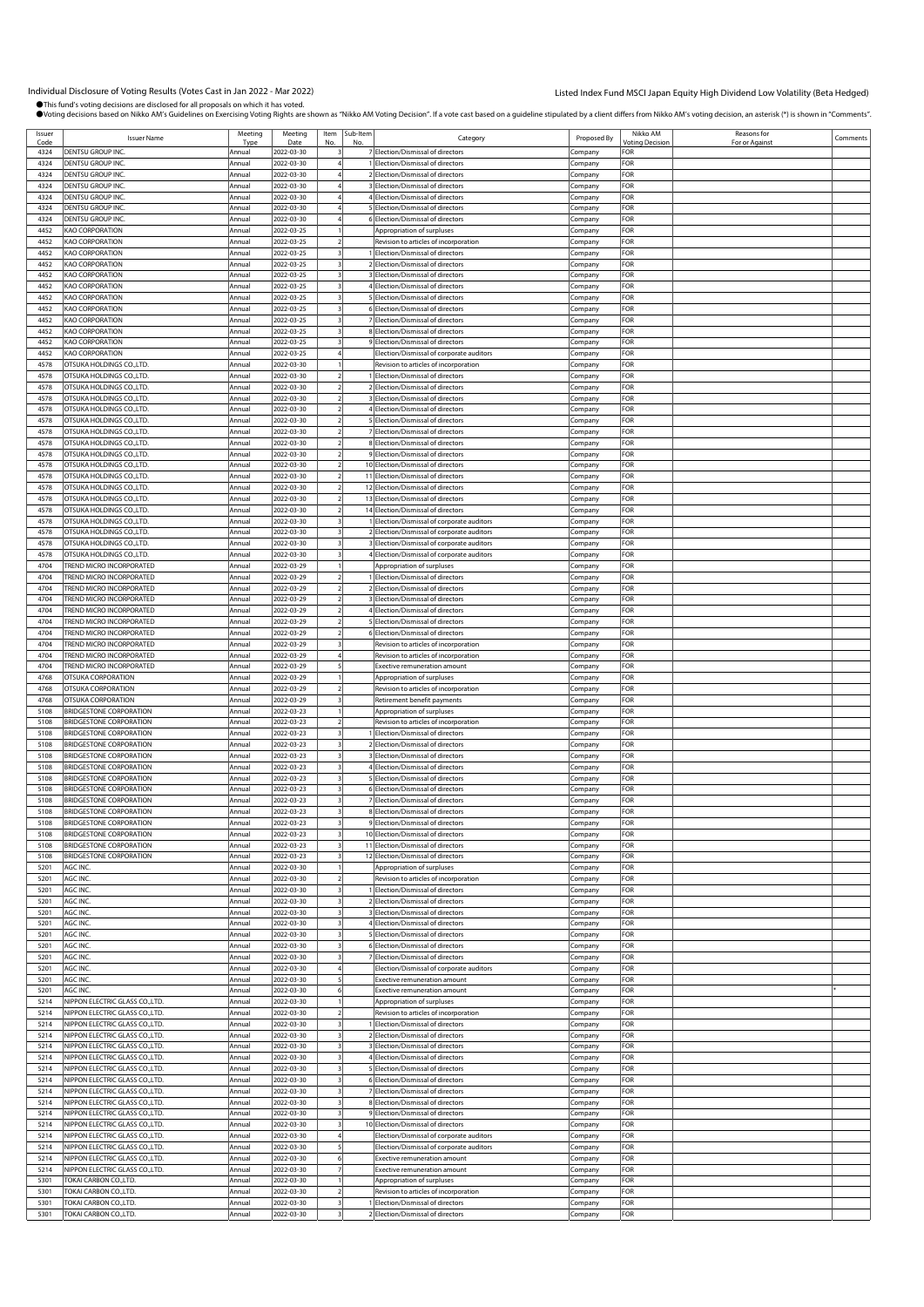Individual Disclosure of Voting Results (Votes Cast in Jan 2022 - Mar 2022)<br>●This fund's voting decisions are disclosed for all proposals on which thas voted.<br>●Voting decisions based on Nikko AM's Guidelines on Exercising

| Issuer       |                                                                  | Meeting          | Meeting                  | Item | Sub-Item |                                                                  |                    | Nikko AM               | Reasons for    |          |
|--------------|------------------------------------------------------------------|------------------|--------------------------|------|----------|------------------------------------------------------------------|--------------------|------------------------|----------------|----------|
| Code         | <b>Issuer Name</b>                                               | Type             | Date                     | No   | No       | Category                                                         | Proposed By        | <b>Voting Decision</b> | For or Against | Comments |
| 4324         | DENTSU GROUP INC.                                                | Annual           | 2022-03-30               |      |          | 7 Election/Dismissal of directors                                | Company            | FOR                    |                |          |
| 4324         | DENTSU GROUP INC.                                                | Annual           | 2022-03-30               |      |          | 1 Election/Dismissal of directors                                | Company            | FOR                    |                |          |
| 4324         | DENTSU GROUP INC.                                                | Annual           | 2022-03-30               |      |          | 2 Election/Dismissal of directors                                | Company            | FOR                    |                |          |
| 4324         | DENTSU GROUP INC.                                                | Annual           | 2022-03-30               |      |          | 3 Election/Dismissal of directors                                | Company            | FOR                    |                |          |
| 4324         | DENTSU GROUP INC.                                                | Annual           | 2022-03-30               |      |          | 4 Election/Dismissal of directors                                | Company            | FOR                    |                |          |
| 4324         | DENTSU GROUP INC.                                                | Annual           | 2022-03-30               |      |          | 5 Election/Dismissal of directors                                | Company            | FOR                    |                |          |
| 4324         | DENTSU GROUP INC.                                                | Annual           | 2022-03-30               |      |          | 6 Election/Dismissal of directors                                | Company            | FOR                    |                |          |
| 4452         | KAO CORPORATION                                                  | Annual           | 2022-03-25               |      |          | Appropriation of surpluses                                       | Company            | FOR                    |                |          |
| 4452         | KAO CORPORATION                                                  | Annual           | 2022-03-25               |      |          | Revision to articles of incorporation                            | Company            | FOR                    |                |          |
| 4452         | KAO CORPORATION                                                  | Annual           | 2022-03-25               |      |          | 1 Election/Dismissal of directors                                | Company            | FOR                    |                |          |
| 4452         | KAO CORPORATION                                                  | Annual           | 2022-03-25               |      |          | 2 Election/Dismissal of directors                                | Company            | FOR                    |                |          |
| 4452         | KAO CORPORATION                                                  | Annual           | 2022-03-25               |      |          | 3 Election/Dismissal of directors                                | Company            | FOR                    |                |          |
| 4452         | KAO CORPORATION                                                  | Annual           | 2022-03-25               |      |          | 4 Election/Dismissal of directors                                | Company            | FOR                    |                |          |
| 4452         | <b>KAO CORPORATION</b>                                           | Annual           | 2022-03-25               |      |          | 5 Election/Dismissal of directors                                | Company            | FOR                    |                |          |
| 4452         | KAO CORPORATION                                                  | Annual           | 2022-03-25               |      |          | 6 Election/Dismissal of directors                                | Company            | FOR                    |                |          |
| 4452         | KAO CORPORATION                                                  | Annual           | 2022-03-25               |      |          | 7 Election/Dismissal of directors                                | Company            | FOR                    |                |          |
| 4452         | <b>KAO CORPORATION</b>                                           | Annual           | 2022-03-25               |      |          | 8 Election/Dismissal of directors                                | Company            | FOR                    |                |          |
| 4452         | KAO CORPORATION                                                  | Annual           | 2022-03-25               |      |          | 9 Election/Dismissal of directors                                | Company            | FOR                    |                |          |
| 4452         | <b>KAO CORPORATION</b>                                           | Annual           | 2022-03-25               |      |          | Election/Dismissal of corporate auditors                         | Company            | <b>FOR</b>             |                |          |
| 4578         | OTSUKA HOLDINGS CO.,LTD.                                         | Annual           | 2022-03-30               |      |          | Revision to articles of incorporation                            | Company            | FOR                    |                |          |
| 4578         | OTSUKA HOLDINGS CO., LTD.                                        | Annual           | 2022-03-30               |      |          | 1 Election/Dismissal of directors                                | Company            | FOR                    |                |          |
| 4578         | OTSUKA HOLDINGS CO.,LTD.                                         | Annual           | 2022-03-30               |      |          | 2 Election/Dismissal of directors                                | Company            | FOR                    |                |          |
| 4578         | OTSUKA HOLDINGS CO., LTD.                                        | Annual           | 2022-03-30               |      |          | 3 Election/Dismissal of directors                                | Company            | FOR                    |                |          |
| 4578         | OTSUKA HOLDINGS CO., LTD.                                        | Annual           | 2022-03-30               |      |          | 4 Election/Dismissal of directors                                | Company            | <b>FOR</b>             |                |          |
| 4578         | OTSUKA HOLDINGS CO.,LTD.                                         | Annual           | 2022-03-30               |      |          | 5 Election/Dismissal of directors                                | Company            | FOR                    |                |          |
| 4578         | OTSUKA HOLDINGS CO., LTD.                                        | Annual           | 2022-03-30               |      |          | 7 Election/Dismissal of directors                                | Company            | FOR                    |                |          |
| 4578         | OTSUKA HOLDINGS CO., LTD.                                        | Annual           | 2022-03-30               |      |          | 8 Election/Dismissal of directors                                | Company            | FOR                    |                |          |
| 4578         | OTSUKA HOLDINGS CO., LTD.                                        | Annual           | 2022-03-30               |      |          | 9 Election/Dismissal of directors                                | Company            | FOR                    |                |          |
| 4578         | OTSUKA HOLDINGS CO., LTD.                                        | Annual           | 2022-03-30               |      |          | 10 Election/Dismissal of directors                               | Company            | <b>FOR</b>             |                |          |
| 4578         | OTSUKA HOLDINGS CO.,LTD.                                         | Annual           | 2022-03-30               |      |          | 11 Election/Dismissal of directors                               | Company            | FOR                    |                |          |
| 4578         | OTSUKA HOLDINGS CO., LTD.                                        | Annual           | 2022-03-30               |      |          | 12 Election/Dismissal of directors                               | Company            | FOR                    |                |          |
| 4578         | OTSUKA HOLDINGS CO., LTD.                                        | Annual           | 2022-03-30               |      |          | 13 Election/Dismissal of directors                               | Company            | FOR                    |                |          |
| 4578         | OTSUKA HOLDINGS CO., LTD.                                        | Annual           | 2022-03-30               |      |          | 14 Election/Dismissal of directors                               | Company            | FOR                    |                |          |
| 4578         | OTSUKA HOLDINGS CO., LTD.                                        | Annual           | 2022-03-30               |      |          | 1 Election/Dismissal of corporate auditors                       | Company            | <b>FOR</b>             |                |          |
| 4578         | OTSUKA HOLDINGS CO.,LTD.                                         | Annual           | 2022-03-30               |      |          | 2 Election/Dismissal of corporate auditors                       | Company            | FOR                    |                |          |
| 4578         | OTSUKA HOLDINGS CO., LTD.                                        | Annual           | 2022-03-30               |      |          | 3 Election/Dismissal of corporate auditors                       | Company            | FOR                    |                |          |
| 4578         | OTSUKA HOLDINGS CO., LTD.                                        | Annual           | 2022-03-30               |      |          | 4 Election/Dismissal of corporate auditors                       | Company            | FOR                    |                |          |
| 4704         | TREND MICRO INCORPORATED                                         | Annual           | 2022-03-29               |      |          | Appropriation of surpluses                                       | Company            | FOR                    |                |          |
| 4704         | TREND MICRO INCORPORATED                                         | Annual           | 2022-03-29               |      |          | 1 Election/Dismissal of directors                                | Company            | FOR                    |                |          |
| 4704         | <b>TREND MICRO INCORPORATED</b>                                  | Annual           | 2022-03-29               |      |          | 2 Election/Dismissal of directors                                | Company            | FOR                    |                |          |
| 4704         | TREND MICRO INCORPORATED                                         | Annual           | 2022-03-29               |      |          | 3 Election/Dismissal of directors                                | .cmpany            | FOR                    |                |          |
| 4704         | <b>FREND MICRO INCORPORATED</b>                                  | Annual           | 2022-03-29               |      |          | 4 Election/Dismissal of directors                                | Company            | FOR                    |                |          |
| 4704         | TREND MICRO INCORPORATED                                         | Annual           | 2022-03-29               |      |          | 5 Election/Dismissal of directors                                | Company            | FOR                    |                |          |
| 4704         | TREND MICRO INCORPORATED                                         | Annual           | 2022-03-29               |      |          | 6 Election/Dismissal of directors                                | Company            | FOR                    |                |          |
| 4704         | <b>FREND MICRO INCORPORATED</b>                                  | Annual           | 2022-03-29               |      |          | Revision to articles of incorporation                            | Company            | FOR                    |                |          |
| 4704         | TREND MICRO INCORPORATED                                         | Annual           | 2022-03-29               |      |          | Revision to articles of incorporation                            | .cmpany            | FOR                    |                |          |
| 4704         | TREND MICRO INCORPORATED                                         | Annual           | 2022-03-29               |      |          | <b>Exective remuneration amount</b>                              | Company            | FOR                    |                |          |
| 4768         | OTSUKA CORPORATION                                               | Annual           | 2022-03-29               |      |          | Appropriation of surpluses                                       | Company            | FOR                    |                |          |
| 4768         | OTSUKA CORPORATION                                               | Annual           | 2022-03-29               |      |          | Revision to articles of incorporation                            | Company            | FOR                    |                |          |
| 4768         | OTSUKA CORPORATION                                               | Annual           | 2022-03-29               |      |          | Retirement benefit payments                                      | Company            | FOR                    |                |          |
| 5108         | <b>BRIDGESTONE CORPORATION</b>                                   | Annual           | 2022-03-23               |      |          | Appropriation of surpluses                                       | .cmpany            | FOR                    |                |          |
| 5108         | <b>BRIDGESTONE CORPORATION</b>                                   | Annual           | 2022-03-23               |      |          | Revision to articles of incorporation                            | Company            | FOR                    |                |          |
| 5108         | <b>BRIDGESTONE CORPORATION</b>                                   | Annual           | 2022-03-23               |      |          | Election/Dismissal of directors                                  | .cmpany            | FOR                    |                |          |
| 5108         | <b>BRIDGESTONE CORPORATION</b>                                   | Annual           | 2022-03-23               |      |          | 2 Election/Dismissal of directors                                | Company            | FOR                    |                |          |
| 5108         | BRIDGESTONE CORPORATION                                          | Annual           | 2022-03-23               |      |          | 3 Election/Dismissal of directors                                | Company            | FOR                    |                |          |
| 5108         | <b>BRIDGESTONE CORPORATION</b>                                   | Annual           | 2022-03-23               |      |          | 4 Election/Dismissal of directors                                | Company            | FOR                    |                |          |
| 5108         | <b>BRIDGESTONE CORPORATION</b>                                   | Annual           | 2022-03-23               |      |          | 5 Election/Dismissal of directors                                | Company            | FOR                    |                |          |
| 5108         | <b>BRIDGESTONE CORPORATION</b>                                   | Annual           | 2022-03-23               |      |          | 6 Election/Dismissal of directors                                | .ompany            | FOR                    |                |          |
| 5108         | <b>BRIDGESTONE CORPORATION</b>                                   | Annual           | 2022-03-23               |      |          | 7 Election/Dismissal of directors                                | Company            | <b>FOR</b>             |                |          |
| 5108         | <b>BRIDGESTONE CORPORATION</b>                                   | Annual           | 2022-03-23               |      |          | 8 Election/Dismissal of directors                                | Company            | FOR                    |                |          |
| 5108         | <b>BRIDGESTONE CORPORATION</b>                                   | Annual           | 2022-03-23               |      |          | 9 Election/Dismissal of directors                                | Company            | FOR                    |                |          |
| 5108         | <b>BRIDGESTONE CORPORATION</b>                                   | Annual           | 2022-03-23               |      |          | 10 Election/Dismissal of directors                               | Company            | FOR                    |                |          |
| 5108         | <b>BRIDGESTONE CORPORATION</b><br><b>BRIDGESTONE CORPORATION</b> | Annual           | 2022-03-23               |      |          | 11 Election/Dismissal of directors                               | Company            | FOR<br>FOR             |                |          |
| 5108<br>5201 | AGC INC.                                                         | Annual<br>Annual | 2022-03-23<br>2022-03-30 |      |          | 12 Election/Dismissal of directors<br>Appropriation of surpluses | Company            | FOR                    |                |          |
| 5201         | AGC INC.                                                         | Annual           | 2022-03-30               |      |          | Revision to articles of incorporation                            | Company            | FOR                    |                |          |
| 5201         | AGC INC.                                                         | Annual           | 2022-03-30               |      |          | I Election/Dismissal of directors                                | Company<br>Company | FOR                    |                |          |
| 5201         | AGC INC.                                                         | Annual           | 2022-03-30               |      |          | 2 Election/Dismissal of directors                                | Company            | FOR                    |                |          |
| 5201         | AGC INC.                                                         | Annual           | 2022-03-30               |      |          | 3 Election/Dismissal of directors                                | Company            | FOR                    |                |          |
| 5201         | AGC INC.                                                         | Annual           | 2022-03-30               |      |          | 4 Election/Dismissal of directors                                | Company            | FOR                    |                |          |
| 5201         | AGC INC.                                                         | Annual           | 2022-03-30               |      |          | 5 Election/Dismissal of directors                                | Company            | FOR                    |                |          |
| 5201         | AGC INC.                                                         | Annual           | 2022-03-30               |      |          | 6 Election/Dismissal of directors                                | Company            | FOR                    |                |          |
| 5201         | AGC INC.                                                         | Annual           | 2022-03-30               |      |          | 7 Election/Dismissal of directors                                | Company            | FOR                    |                |          |
| 5201         | AGC INC.                                                         | Annual           | 2022-03-30               |      |          | Election/Dismissal of corporate auditors                         | Company            | FOR                    |                |          |
| 5201         | AGC INC.                                                         | Annual           | 2022-03-30               |      |          | Exective remuneration amount                                     | Company            | FOR                    |                |          |
| 5201         | AGC INC.                                                         | Annual           | 2022-03-30               |      |          | Exective remuneration amount                                     | Company            | FOR                    |                |          |
| 5214         | NIPPON ELECTRIC GLASS CO., LTD.                                  | Annual           | 2022-03-30               |      |          | Appropriation of surpluses                                       | Company            | FOR                    |                |          |
| 5214         | NIPPON ELECTRIC GLASS CO., LTD.                                  | Annual           | 2022-03-30               |      |          | Revision to articles of incorporation                            | Company            | FOR                    |                |          |
| 5214         | NIPPON ELECTRIC GLASS CO., LTD.                                  | Annual           | 2022-03-30               |      |          | 1 Election/Dismissal of directors                                | Company            | FOR                    |                |          |
| 5214         | NIPPON ELECTRIC GLASS CO., LTD.                                  | Annual           | 2022-03-30               |      |          | 2 Election/Dismissal of directors                                | Company            | FOR                    |                |          |
| 5214         | NIPPON ELECTRIC GLASS CO., LTD.                                  | Annual           | 2022-03-30               |      |          | 3 Election/Dismissal of directors                                | Company            | FOR                    |                |          |
| 5214         | NIPPON ELECTRIC GLASS CO., LTD.                                  | Annual           | 2022-03-30               |      |          | 4 Election/Dismissal of directors                                | Company            | FOR                    |                |          |
| 5214         | NIPPON ELECTRIC GLASS CO., LTD.                                  | Annual           | 2022-03-30               |      |          | 5 Election/Dismissal of directors                                | Company            | FOR                    |                |          |
| 5214         | NIPPON ELECTRIC GLASS CO., LTD.                                  | Annual           | 2022-03-30               |      |          | 6 Election/Dismissal of directors                                | Company            | FOR                    |                |          |
| 5214         | NIPPON ELECTRIC GLASS CO., LTD.                                  | Annual           | 2022-03-30               |      |          | 7 Election/Dismissal of directors                                | Company            | FOR                    |                |          |
| 5214         | NIPPON ELECTRIC GLASS CO., LTD.                                  | Annual           | 2022-03-30               |      |          | 8 Election/Dismissal of directors                                | Company            | FOR                    |                |          |
| 5214         | NIPPON ELECTRIC GLASS CO., LTD.                                  | Annual           | 2022-03-30               |      |          | 9 Election/Dismissal of directors                                | Company            | FOR                    |                |          |
| 5214         | NIPPON ELECTRIC GLASS CO., LTD.                                  | Annual           | 2022-03-30               |      |          | 10 Election/Dismissal of directors                               | Company            | FOR                    |                |          |
| 5214         | NIPPON ELECTRIC GLASS CO., LTD.                                  | Annual           | 2022-03-30               |      |          | Election/Dismissal of corporate auditors                         | Company            | FOR                    |                |          |
| 5214         | NIPPON ELECTRIC GLASS CO., LTD.                                  | Annual           | 2022-03-30               |      |          | Election/Dismissal of corporate auditors                         | Company            | FOR                    |                |          |
| 5214         | NIPPON ELECTRIC GLASS CO., LTD.                                  | Annual           | 2022-03-30               |      |          | Exective remuneration amount                                     | Company            | FOR                    |                |          |
| 5214         | NIPPON ELECTRIC GLASS CO., LTD.                                  | Annual           | 2022-03-30               |      |          | Exective remuneration amount                                     | Company            | FOR                    |                |          |
| 5301         | TOKAI CARBON CO.,LTD.                                            | Annual           | 2022-03-30               |      |          | Appropriation of surpluses                                       | Company            | FOR                    |                |          |
| 5301         | TOKAI CARBON CO.,LTD.                                            | Annual           | 2022-03-30               |      |          | Revision to articles of incorporation                            | Company            | FOR                    |                |          |
| 5301         | TOKAI CARBON CO.,LTD.                                            | Annual           | 2022-03-30               |      |          | 1 Election/Dismissal of directors                                | Company            | FOR                    |                |          |
| 5301         | TOKAI CARBON CO.,LTD.                                            | Annual           | 2022-03-30               |      |          | 2 Election/Dismissal of directors                                | Company            | FOR                    |                |          |